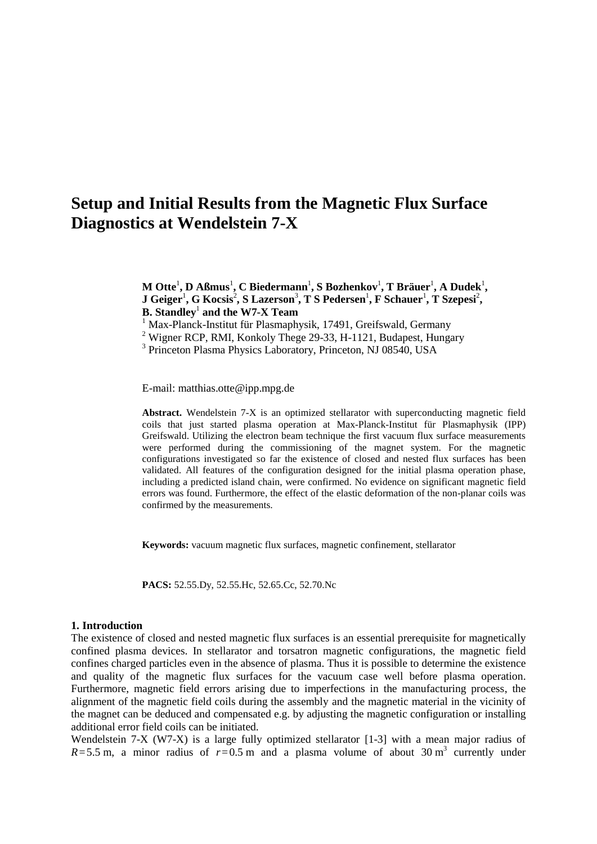# **Setup and Initial Results from the Magnetic Flux Surface Diagnostics at Wendelstein 7-X**

 $\mathbf{M}$  Otte<sup>1</sup>,  $\mathbf{D}$  Aßmus<sup>1</sup>,  $\mathbf{C}$  Biedermann<sup>1</sup>,  $\mathbf{S}$  Bozhenkov<sup>1</sup>,  $\mathbf{T}$  Bräuer<sup>1</sup>,  $\mathbf{A}$  Dudek $^1$ ,  ${\bf J}$  Geiger<sup>1</sup>, G Kocsis<sup>2</sup>, S Lazerson $^3$ , T S Pedersen $^1$ , F Schauer $^1$ , T Szepesi<sup>2</sup>, **B. Standley**<sup>1</sup> **and the W7-X Team**

<sup>1</sup> Max-Planck-Institut für Plasmaphysik, 17491, Greifswald, Germany

<sup>2</sup> Wigner RCP, RMI, Konkoly Thege 29-33, H-1121, Budapest, Hungary

<sup>3</sup> Princeton Plasma Physics Laboratory, Princeton, NJ 08540, USA

E-mail: matthias.otte@ipp.mpg.de

**Abstract.** Wendelstein 7-X is an optimized stellarator with superconducting magnetic field coils that just started plasma operation at Max-Planck-Institut für Plasmaphysik (IPP) Greifswald. Utilizing the electron beam technique the first vacuum flux surface measurements were performed during the commissioning of the magnet system. For the magnetic configurations investigated so far the existence of closed and nested flux surfaces has been validated. All features of the configuration designed for the initial plasma operation phase, including a predicted island chain, were confirmed. No evidence on significant magnetic field errors was found. Furthermore, the effect of the elastic deformation of the non-planar coils was confirmed by the measurements.

**Keywords:** vacuum magnetic flux surfaces, magnetic confinement, stellarator

**PACS:** 52.55.Dy, 52.55.Hc, 52.65.Cc, 52.70.Nc

#### **1. Introduction**

The existence of closed and nested magnetic flux surfaces is an essential prerequisite for magnetically confined plasma devices. In stellarator and torsatron magnetic configurations, the magnetic field confines charged particles even in the absence of plasma. Thus it is possible to determine the existence and quality of the magnetic flux surfaces for the vacuum case well before plasma operation. Furthermore, magnetic field errors arising due to imperfections in the manufacturing process, the alignment of the magnetic field coils during the assembly and the magnetic material in the vicinity of the magnet can be deduced and compensated e.g. by adjusting the magnetic configuration or installing additional error field coils can be initiated.

Wendelstein 7-X (W7-X) is a large fully optimized stellarator [1-3] with a mean major radius of  $R = 5.5$  m, a minor radius of  $r = 0.5$  m and a plasma volume of about 30 m<sup>3</sup> currently under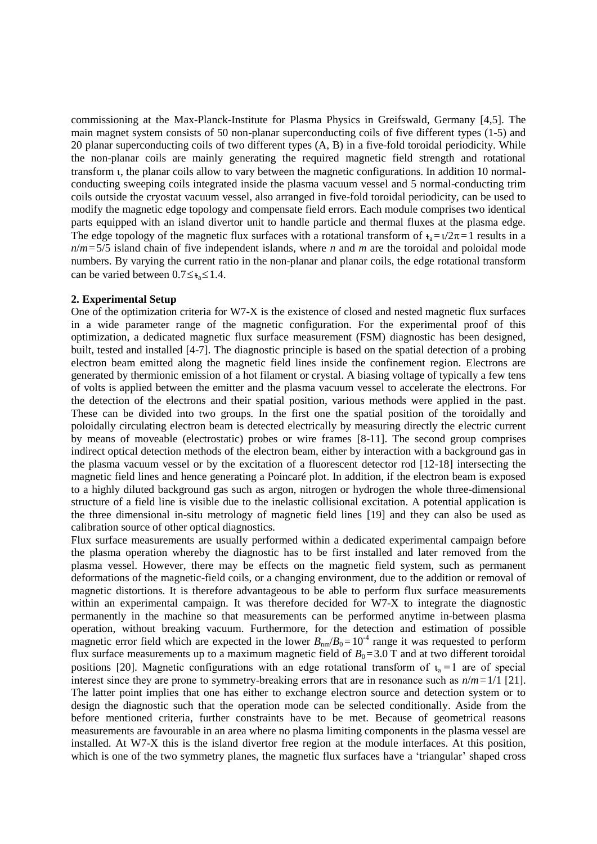commissioning at the Max-Planck-Institute for Plasma Physics in Greifswald, Germany [4,5]. The main magnet system consists of 50 non-planar superconducting coils of five different types (1-5) and 20 planar superconducting coils of two different types (A, B) in a five-fold toroidal periodicity. While the non-planar coils are mainly generating the required magnetic field strength and rotational transform , the planar coils allow to vary between the magnetic configurations. In addition 10 normalconducting sweeping coils integrated inside the plasma vacuum vessel and 5 normal-conducting trim coils outside the cryostat vacuum vessel, also arranged in five-fold toroidal periodicity, can be used to modify the magnetic edge topology and compensate field errors. Each module comprises two identical parts equipped with an island divertor unit to handle particle and thermal fluxes at the plasma edge. The edge topology of the magnetic flux surfaces with a rotational transform of  $t_a = \frac{1}{2}\pi = 1$  results in a  $n/m = 5/5$  island chain of five independent islands, where *n* and *m* are the toroidal and poloidal mode numbers. By varying the current ratio in the non-planar and planar coils, the edge rotational transform can be varied between  $0.7 \le t$ <sub>s</sub> $\le 1.4$ .

## **2. Experimental Setup**

One of the optimization criteria for W7-X is the existence of closed and nested magnetic flux surfaces in a wide parameter range of the magnetic configuration. For the experimental proof of this optimization, a dedicated magnetic flux surface measurement (FSM) diagnostic has been designed, built, tested and installed [4-7]. The diagnostic principle is based on the spatial detection of a probing electron beam emitted along the magnetic field lines inside the confinement region. Electrons are generated by thermionic emission of a hot filament or crystal. A biasing voltage of typically a few tens of volts is applied between the emitter and the plasma vacuum vessel to accelerate the electrons. For the detection of the electrons and their spatial position, various methods were applied in the past. These can be divided into two groups. In the first one the spatial position of the toroidally and poloidally circulating electron beam is detected electrically by measuring directly the electric current by means of moveable (electrostatic) probes or wire frames [8-11]. The second group comprises indirect optical detection methods of the electron beam, either by interaction with a background gas in the plasma vacuum vessel or by the excitation of a fluorescent detector rod [12-18] intersecting the magnetic field lines and hence generating a Poincaré plot. In addition, if the electron beam is exposed to a highly diluted background gas such as argon, nitrogen or hydrogen the whole three-dimensional structure of a field line is visible due to the inelastic collisional excitation. A potential application is the three dimensional in-situ metrology of magnetic field lines [19] and they can also be used as calibration source of other optical diagnostics.

Flux surface measurements are usually performed within a dedicated experimental campaign before the plasma operation whereby the diagnostic has to be first installed and later removed from the plasma vessel. However, there may be effects on the magnetic field system, such as permanent deformations of the magnetic-field coils, or a changing environment, due to the addition or removal of magnetic distortions. It is therefore advantageous to be able to perform flux surface measurements within an experimental campaign. It was therefore decided for W7-X to integrate the diagnostic permanently in the machine so that measurements can be performed anytime in-between plasma operation, without breaking vacuum. Furthermore, for the detection and estimation of possible magnetic error field which are expected in the lower  $B_{nm}/B_0=10^{-4}$  range it was requested to perform flux surface measurements up to a maximum magnetic field of  $B_0 = 3.0$  T and at two different toroidal positions [20]. Magnetic configurations with an edge rotational transform of  $t_a = 1$  are of special interest since they are prone to symmetry-breaking errors that are in resonance such as *n*/*m*=1/1 [21]. The latter point implies that one has either to exchange electron source and detection system or to design the diagnostic such that the operation mode can be selected conditionally. Aside from the before mentioned criteria, further constraints have to be met. Because of geometrical reasons measurements are favourable in an area where no plasma limiting components in the plasma vessel are installed. At W7-X this is the island divertor free region at the module interfaces. At this position, which is one of the two symmetry planes, the magnetic flux surfaces have a 'triangular' shaped cross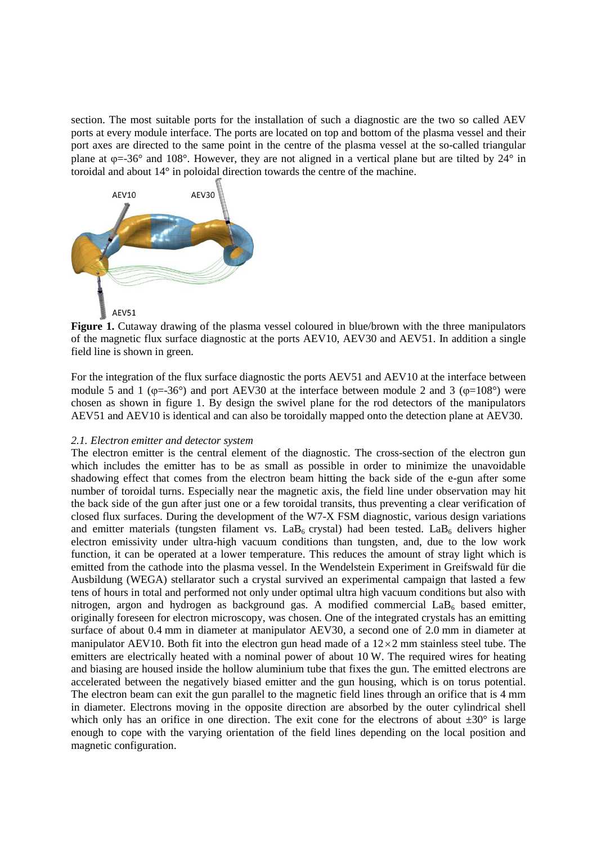section. The most suitable ports for the installation of such a diagnostic are the two so called AEV ports at every module interface. The ports are located on top and bottom of the plasma vessel and their port axes are directed to the same point in the centre of the plasma vessel at the so-called triangular plane at  $\varphi = -36^\circ$  and 108°. However, they are not aligned in a vertical plane but are tilted by 24° in toroidal and about 14° in poloidal direction towards the centre of the machine.



**Figure 1.** Cutaway drawing of the plasma vessel coloured in blue/brown with the three manipulators of the magnetic flux surface diagnostic at the ports AEV10, AEV30 and AEV51. In addition a single field line is shown in green.

For the integration of the flux surface diagnostic the ports AEV51 and AEV10 at the interface between module 5 and 1 ( $\varphi$ =-36°) and port AEV30 at the interface between module 2 and 3 ( $\varphi$ =108°) were chosen as shown in figure 1. By design the swivel plane for the rod detectors of the manipulators AEV51 and AEV10 is identical and can also be toroidally mapped onto the detection plane at AEV30.

## *2.1. Electron emitter and detector system*

The electron emitter is the central element of the diagnostic. The cross-section of the electron gun which includes the emitter has to be as small as possible in order to minimize the unavoidable shadowing effect that comes from the electron beam hitting the back side of the e-gun after some number of toroidal turns. Especially near the magnetic axis, the field line under observation may hit the back side of the gun after just one or a few toroidal transits, thus preventing a clear verification of closed flux surfaces. During the development of the W7-X FSM diagnostic, various design variations and emitter materials (tungsten filament vs.  $LaB<sub>6</sub>$  crystal) had been tested.  $LaB<sub>6</sub>$  delivers higher electron emissivity under ultra-high vacuum conditions than tungsten, and, due to the low work function, it can be operated at a lower temperature. This reduces the amount of stray light which is emitted from the cathode into the plasma vessel. In the Wendelstein Experiment in Greifswald für die Ausbildung (WEGA) stellarator such a crystal survived an experimental campaign that lasted a few tens of hours in total and performed not only under optimal ultra high vacuum conditions but also with nitrogen, argon and hydrogen as background gas. A modified commercial  $LaB<sub>6</sub>$  based emitter, originally foreseen for electron microscopy, was chosen. One of the integrated crystals has an emitting surface of about 0.4 mm in diameter at manipulator AEV30, a second one of 2.0 mm in diameter at manipulator AEV10. Both fit into the electron gun head made of a  $12 \times 2$  mm stainless steel tube. The emitters are electrically heated with a nominal power of about 10 W. The required wires for heating and biasing are housed inside the hollow aluminium tube that fixes the gun. The emitted electrons are accelerated between the negatively biased emitter and the gun housing, which is on torus potential. The electron beam can exit the gun parallel to the magnetic field lines through an orifice that is 4 mm in diameter. Electrons moving in the opposite direction are absorbed by the outer cylindrical shell which only has an orifice in one direction. The exit cone for the electrons of about  $\pm 30^{\circ}$  is large enough to cope with the varying orientation of the field lines depending on the local position and magnetic configuration.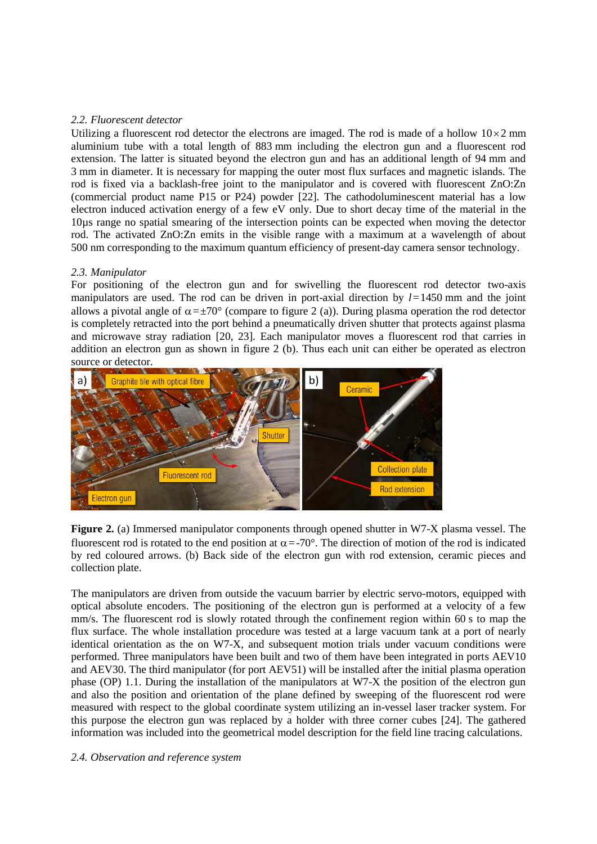## *2.2. Fluorescent detector*

Utilizing a fluorescent rod detector the electrons are imaged. The rod is made of a hollow  $10\times2$  mm aluminium tube with a total length of 883 mm including the electron gun and a fluorescent rod extension. The latter is situated beyond the electron gun and has an additional length of 94 mm and 3 mm in diameter. It is necessary for mapping the outer most flux surfaces and magnetic islands. The rod is fixed via a backlash-free joint to the manipulator and is covered with fluorescent ZnO:Zn (commercial product name P15 or P24) powder [22]. The cathodoluminescent material has a low electron induced activation energy of a few eV only. Due to short decay time of the material in the 10µs range no spatial smearing of the intersection points can be expected when moving the detector rod. The activated ZnO:Zn emits in the visible range with a maximum at a wavelength of about 500 nm corresponding to the maximum quantum efficiency of present-day camera sensor technology.

## *2.3. Manipulator*

For positioning of the electron gun and for swivelling the fluorescent rod detector two-axis manipulators are used. The rod can be driven in port-axial direction by *l*=1450 mm and the joint allows a pivotal angle of  $\alpha = \pm 70^{\circ}$  (compare to figure 2 (a)). During plasma operation the rod detector is completely retracted into the port behind a pneumatically driven shutter that protects against plasma and microwave stray radiation [20, 23]. Each manipulator moves a fluorescent rod that carries in addition an electron gun as shown in figure 2 (b). Thus each unit can either be operated as electron source or detector.



**Figure 2.** (a) Immersed manipulator components through opened shutter in W7-X plasma vessel. The fluorescent rod is rotated to the end position at  $\alpha = -70^{\circ}$ . The direction of motion of the rod is indicated by red coloured arrows. (b) Back side of the electron gun with rod extension, ceramic pieces and collection plate.

The manipulators are driven from outside the vacuum barrier by electric servo-motors, equipped with optical absolute encoders. The positioning of the electron gun is performed at a velocity of a few mm/s. The fluorescent rod is slowly rotated through the confinement region within 60 s to map the flux surface. The whole installation procedure was tested at a large vacuum tank at a port of nearly identical orientation as the on W7-X, and subsequent motion trials under vacuum conditions were performed. Three manipulators have been built and two of them have been integrated in ports AEV10 and AEV30. The third manipulator (for port AEV51) will be installed after the initial plasma operation phase (OP) 1.1. During the installation of the manipulators at W7-X the position of the electron gun and also the position and orientation of the plane defined by sweeping of the fluorescent rod were measured with respect to the global coordinate system utilizing an in-vessel laser tracker system. For this purpose the electron gun was replaced by a holder with three corner cubes [24]. The gathered information was included into the geometrical model description for the field line tracing calculations.

### *2.4. Observation and reference system*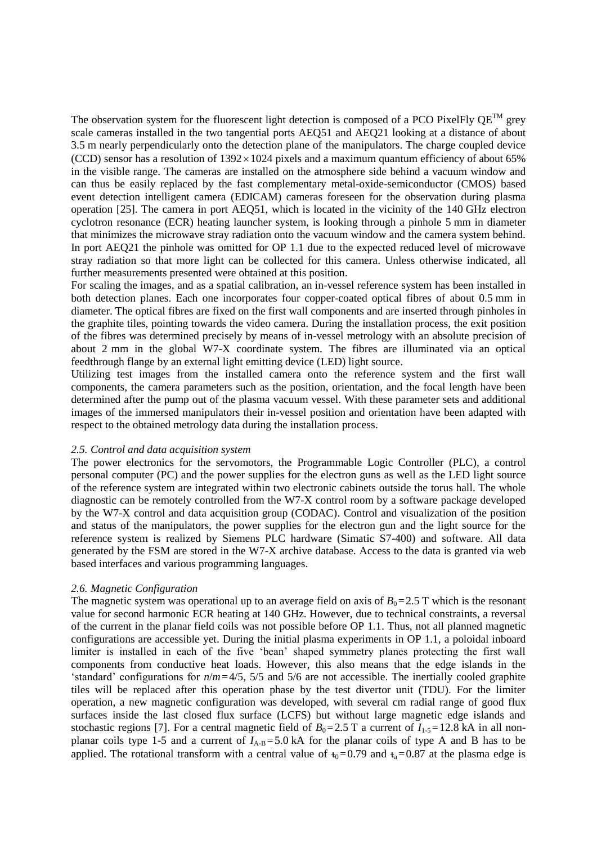The observation system for the fluorescent light detection is composed of a PCO PixelFly  $QE^{TM}$  grey scale cameras installed in the two tangential ports AEQ51 and AEQ21 looking at a distance of about 3.5 m nearly perpendicularly onto the detection plane of the manipulators. The charge coupled device (CCD) sensor has a resolution of  $1392 \times 1024$  pixels and a maximum quantum efficiency of about 65% in the visible range. The cameras are installed on the atmosphere side behind a vacuum window and can thus be easily replaced by the fast complementary metal-oxide-semiconductor (CMOS) based event detection intelligent camera (EDICAM) cameras foreseen for the observation during plasma operation [25]. The camera in port AEQ51, which is located in the vicinity of the 140 GHz electron cyclotron resonance (ECR) heating launcher system, is looking through a pinhole 5 mm in diameter that minimizes the microwave stray radiation onto the vacuum window and the camera system behind. In port AEQ21 the pinhole was omitted for OP 1.1 due to the expected reduced level of microwave stray radiation so that more light can be collected for this camera. Unless otherwise indicated, all further measurements presented were obtained at this position.

For scaling the images, and as a spatial calibration, an in-vessel reference system has been installed in both detection planes. Each one incorporates four copper-coated optical fibres of about 0.5 mm in diameter. The optical fibres are fixed on the first wall components and are inserted through pinholes in the graphite tiles, pointing towards the video camera. During the installation process, the exit position of the fibres was determined precisely by means of in-vessel metrology with an absolute precision of about 2 mm in the global W7-X coordinate system. The fibres are illuminated via an optical feedthrough flange by an external light emitting device (LED) light source.

Utilizing test images from the installed camera onto the reference system and the first wall components, the camera parameters such as the position, orientation, and the focal length have been determined after the pump out of the plasma vacuum vessel. With these parameter sets and additional images of the immersed manipulators their in-vessel position and orientation have been adapted with respect to the obtained metrology data during the installation process.

### *2.5. Control and data acquisition system*

The power electronics for the servomotors, the Programmable Logic Controller (PLC), a control personal computer (PC) and the power supplies for the electron guns as well as the LED light source of the reference system are integrated within two electronic cabinets outside the torus hall. The whole diagnostic can be remotely controlled from the W7-X control room by a software package developed by the W7-X control and data acquisition group (CODAC). Control and visualization of the position and status of the manipulators, the power supplies for the electron gun and the light source for the reference system is realized by Siemens PLC hardware (Simatic S7-400) and software. All data generated by the FSM are stored in the W7-X archive database. Access to the data is granted via web based interfaces and various programming languages.

#### *2.6. Magnetic Configuration*

The magnetic system was operational up to an average field on axis of  $B_0 = 2.5$  T which is the resonant value for second harmonic ECR heating at 140 GHz. However, due to technical constraints, a reversal of the current in the planar field coils was not possible before OP 1.1. Thus, not all planned magnetic configurations are accessible yet. During the initial plasma experiments in OP 1.1, a poloidal inboard limiter is installed in each of the five 'bean' shaped symmetry planes protecting the first wall components from conductive heat loads. However, this also means that the edge islands in the 'standard' configurations for *n*/*m*=4/5, 5/5 and 5/6 are not accessible. The inertially cooled graphite tiles will be replaced after this operation phase by the test divertor unit (TDU). For the limiter operation, a new magnetic configuration was developed, with several cm radial range of good flux surfaces inside the last closed flux surface (LCFS) but without large magnetic edge islands and stochastic regions [7]. For a central magnetic field of  $B_0 = 2.5$  T a current of  $I_{1.5} = 12.8$  kA in all nonplanar coils type 1-5 and a current of  $I_{A-B} = 5.0$  kA for the planar coils of type A and B has to be applied. The rotational transform with a central value of  $t_0$ =0.79 and  $t_a$ =0.87 at the plasma edge is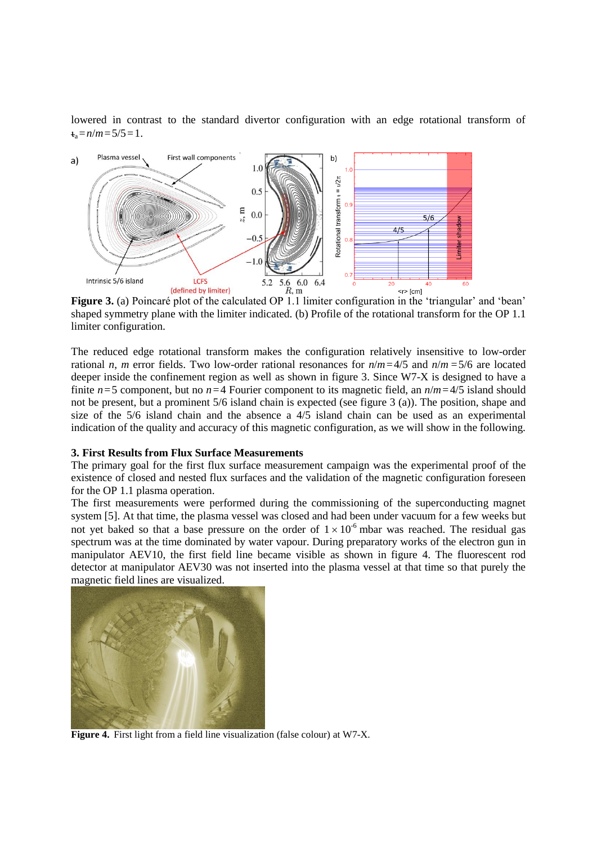lowered in contrast to the standard divertor configuration with an edge rotational transform of  $t_a = n/m = 5/5 = 1$ .



**Figure 3.** (a) Poincaré plot of the calculated OP 1.1 limiter configuration in the 'triangular' and 'bean' shaped symmetry plane with the limiter indicated. (b) Profile of the rotational transform for the OP 1.1 limiter configuration.

The reduced edge rotational transform makes the configuration relatively insensitive to low-order rational *n*, *m* error fields. Two low-order rational resonances for *n*/*m*=4/5 and *n*/*m* =5/6 are located deeper inside the confinement region as well as shown in figure 3. Since W7-X is designed to have a finite  $n=5$  component, but no  $n=4$  Fourier component to its magnetic field, an  $n/m=4/5$  island should not be present, but a prominent 5/6 island chain is expected (see figure 3 (a)). The position, shape and size of the 5/6 island chain and the absence a 4/5 island chain can be used as an experimental indication of the quality and accuracy of this magnetic configuration, as we will show in the following.

#### **3. First Results from Flux Surface Measurements**

The primary goal for the first flux surface measurement campaign was the experimental proof of the existence of closed and nested flux surfaces and the validation of the magnetic configuration foreseen for the OP 1.1 plasma operation.

The first measurements were performed during the commissioning of the superconducting magnet system [5]. At that time, the plasma vessel was closed and had been under vacuum for a few weeks but not yet baked so that a base pressure on the order of  $1 \times 10^{-6}$  mbar was reached. The residual gas spectrum was at the time dominated by water vapour. During preparatory works of the electron gun in manipulator AEV10, the first field line became visible as shown in figure 4. The fluorescent rod detector at manipulator AEV30 was not inserted into the plasma vessel at that time so that purely the magnetic field lines are visualized.



**Figure 4.** First light from a field line visualization (false colour) at W7-X.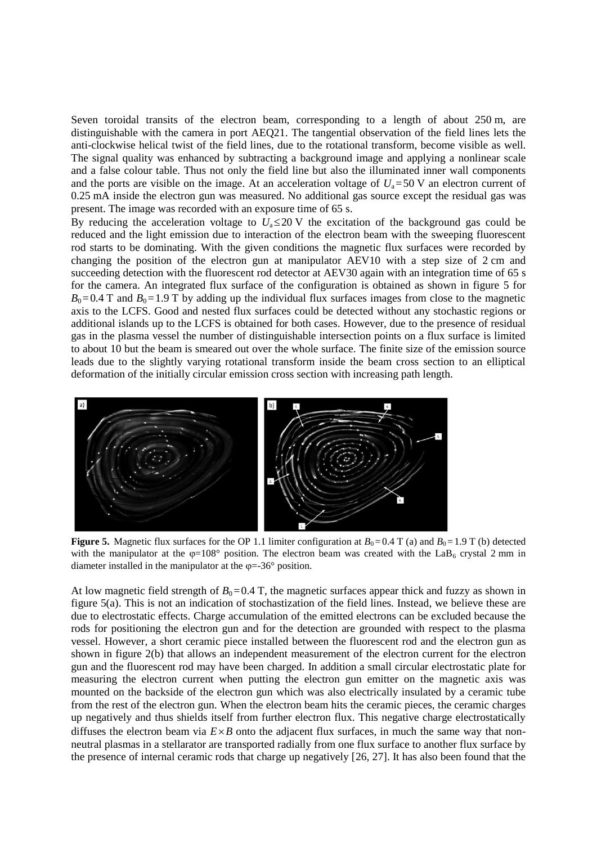Seven toroidal transits of the electron beam, corresponding to a length of about 250 m, are distinguishable with the camera in port AEQ21. The tangential observation of the field lines lets the anti-clockwise helical twist of the field lines, due to the rotational transform, become visible as well. The signal quality was enhanced by subtracting a background image and applying a nonlinear scale and a false colour table. Thus not only the field line but also the illuminated inner wall components and the ports are visible on the image. At an acceleration voltage of  $U_a = 50$  V an electron current of 0.25 mA inside the electron gun was measured. No additional gas source except the residual gas was present. The image was recorded with an exposure time of 65 s.

By reducing the acceleration voltage to  $U_a \leq 20$  V the excitation of the background gas could be reduced and the light emission due to interaction of the electron beam with the sweeping fluorescent rod starts to be dominating. With the given conditions the magnetic flux surfaces were recorded by changing the position of the electron gun at manipulator AEV10 with a step size of 2 cm and succeeding detection with the fluorescent rod detector at AEV30 again with an integration time of 65 s for the camera. An integrated flux surface of the configuration is obtained as shown in figure 5 for  $B_0=0.4$  T and  $B_0=1.9$  T by adding up the individual flux surfaces images from close to the magnetic axis to the LCFS. Good and nested flux surfaces could be detected without any stochastic regions or additional islands up to the LCFS is obtained for both cases. However, due to the presence of residual gas in the plasma vessel the number of distinguishable intersection points on a flux surface is limited to about 10 but the beam is smeared out over the whole surface. The finite size of the emission source leads due to the slightly varying rotational transform inside the beam cross section to an elliptical deformation of the initially circular emission cross section with increasing path length.



**Figure 5.** Magnetic flux surfaces for the OP 1.1 limiter configuration at  $B_0 = 0.4$  T (a) and  $B_0 = 1.9$  T (b) detected with the manipulator at the  $\varphi=108^\circ$  position. The electron beam was created with the LaB<sub>6</sub> crystal 2 mm in diameter installed in the manipulator at the  $\varphi = -36^\circ$  position.

At low magnetic field strength of  $B_0=0.4$  T, the magnetic surfaces appear thick and fuzzy as shown in figure 5(a). This is not an indication of stochastization of the field lines. Instead, we believe these are due to electrostatic effects. Charge accumulation of the emitted electrons can be excluded because the rods for positioning the electron gun and for the detection are grounded with respect to the plasma vessel. However, a short ceramic piece installed between the fluorescent rod and the electron gun as shown in figure 2(b) that allows an independent measurement of the electron current for the electron gun and the fluorescent rod may have been charged. In addition a small circular electrostatic plate for measuring the electron current when putting the electron gun emitter on the magnetic axis was mounted on the backside of the electron gun which was also electrically insulated by a ceramic tube from the rest of the electron gun. When the electron beam hits the ceramic pieces, the ceramic charges up negatively and thus shields itself from further electron flux. This negative charge electrostatically diffuses the electron beam via  $E \times B$  onto the adjacent flux surfaces, in much the same way that nonneutral plasmas in a stellarator are transported radially from one flux surface to another flux surface by the presence of internal ceramic rods that charge up negatively [26, 27]. It has also been found that the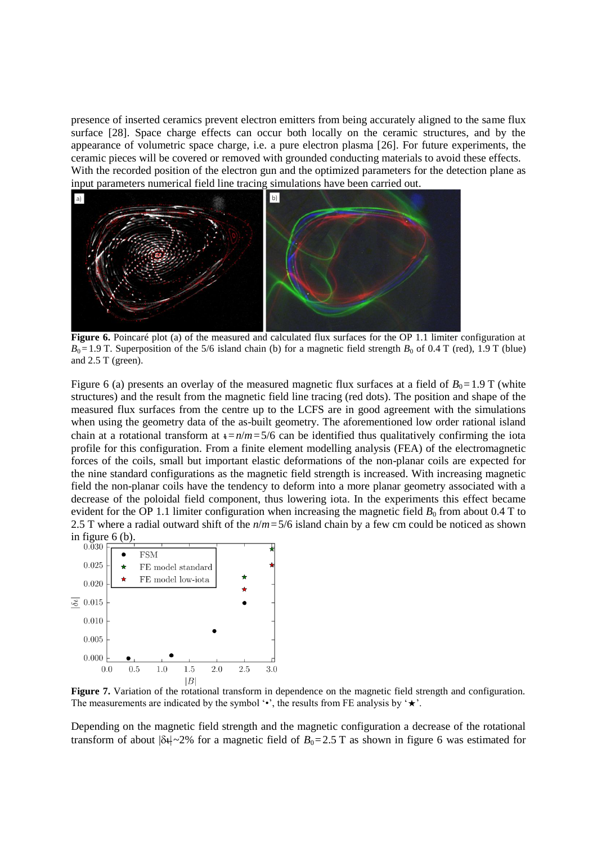presence of inserted ceramics prevent electron emitters from being accurately aligned to the same flux surface [28]. Space charge effects can occur both locally on the ceramic structures, and by the appearance of volumetric space charge, i.e. a pure electron plasma [26]. For future experiments, the ceramic pieces will be covered or removed with grounded conducting materials to avoid these effects. With the recorded position of the electron gun and the optimized parameters for the detection plane as input parameters numerical field line tracing simulations have been carried out.



**Figure 6.** Poincaré plot (a) of the measured and calculated flux surfaces for the OP 1.1 limiter configuration at  $B_0$ =1.9 T. Superposition of the 5/6 island chain (b) for a magnetic field strength  $B_0$  of 0.4 T (red), 1.9 T (blue) and 2.5 T (green).

Figure 6 (a) presents an overlay of the measured magnetic flux surfaces at a field of  $B_0=1.9$  T (white structures) and the result from the magnetic field line tracing (red dots). The position and shape of the measured flux surfaces from the centre up to the LCFS are in good agreement with the simulations when using the geometry data of the as-built geometry. The aforementioned low order rational island chain at a rotational transform at  $t = n/m = 5/6$  can be identified thus qualitatively confirming the iota profile for this configuration. From a finite element modelling analysis (FEA) of the electromagnetic forces of the coils, small but important elastic deformations of the non-planar coils are expected for the nine standard configurations as the magnetic field strength is increased. With increasing magnetic field the non-planar coils have the tendency to deform into a more planar geometry associated with a decrease of the poloidal field component, thus lowering iota. In the experiments this effect became evident for the OP 1.1 limiter configuration when increasing the magnetic field  $B_0$  from about 0.4 T to 2.5 T where a radial outward shift of the *n*/*m*=5/6 island chain by a few cm could be noticed as shown in figure  $6$  (b).



**Figure 7.** Variation of the rotational transform in dependence on the magnetic field strength and configuration. The measurements are indicated by the symbol ' $\cdot$ ', the results from FE analysis by ' $\star$ '.

Depending on the magnetic field strength and the magnetic configuration a decrease of the rotational transform of about  $|\delta t|$  ~2% for a magnetic field of  $B_0$ =2.5 T as shown in figure 6 was estimated for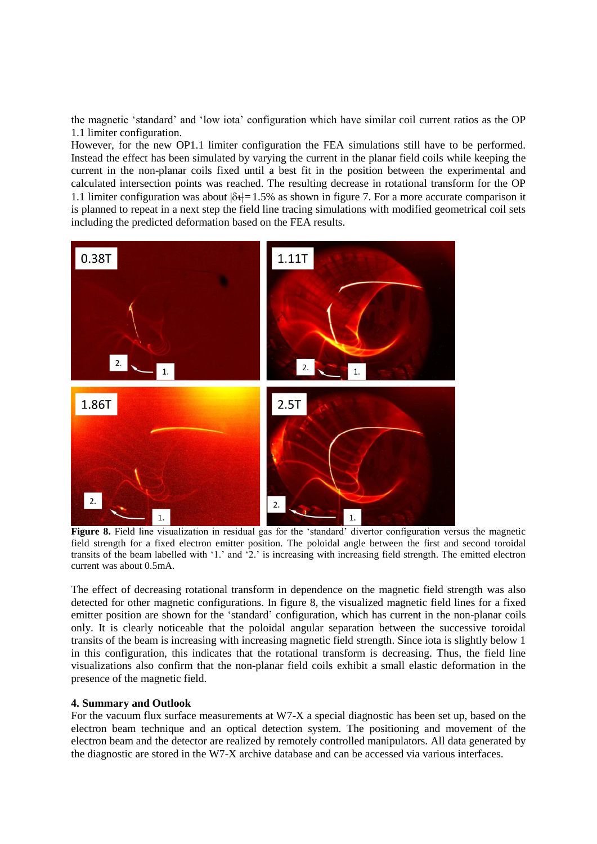the magnetic 'standard' and 'low iota' configuration which have similar coil current ratios as the OP 1.1 limiter configuration.

However, for the new OP1.1 limiter configuration the FEA simulations still have to be performed. Instead the effect has been simulated by varying the current in the planar field coils while keeping the current in the non-planar coils fixed until a best fit in the position between the experimental and calculated intersection points was reached. The resulting decrease in rotational transform for the OP 1.1 limiter configuration was about  $|\delta_t|=1.5\%$  as shown in figure 7. For a more accurate comparison it is planned to repeat in a next step the field line tracing simulations with modified geometrical coil sets including the predicted deformation based on the FEA results.



**Figure 8.** Field line visualization in residual gas for the 'standard' divertor configuration versus the magnetic field strength for a fixed electron emitter position. The poloidal angle between the first and second toroidal transits of the beam labelled with '1.' and '2.' is increasing with increasing field strength. The emitted electron current was about 0.5mA.

The effect of decreasing rotational transform in dependence on the magnetic field strength was also detected for other magnetic configurations. In figure 8, the visualized magnetic field lines for a fixed emitter position are shown for the 'standard' configuration, which has current in the non-planar coils only. It is clearly noticeable that the poloidal angular separation between the successive toroidal transits of the beam is increasing with increasing magnetic field strength. Since iota is slightly below 1 in this configuration, this indicates that the rotational transform is decreasing. Thus, the field line visualizations also confirm that the non-planar field coils exhibit a small elastic deformation in the presence of the magnetic field.

### **4. Summary and Outlook**

For the vacuum flux surface measurements at W7-X a special diagnostic has been set up, based on the electron beam technique and an optical detection system. The positioning and movement of the electron beam and the detector are realized by remotely controlled manipulators. All data generated by the diagnostic are stored in the W7-X archive database and can be accessed via various interfaces.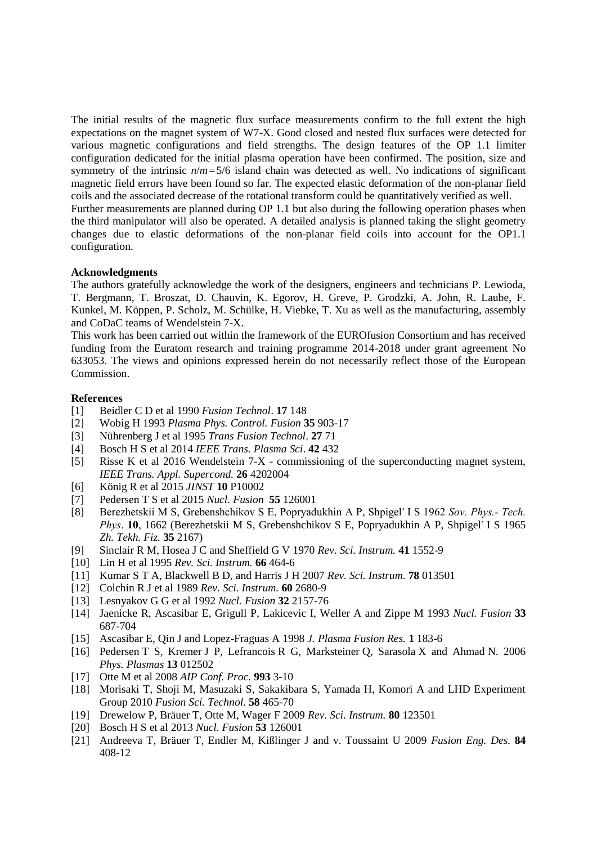The initial results of the magnetic flux surface measurements confirm to the full extent the high expectations on the magnet system of W7-X. Good closed and nested flux surfaces were detected for various magnetic configurations and field strengths. The design features of the OP 1.1 limiter configuration dedicated for the initial plasma operation have been confirmed. The position, size and symmetry of the intrinsic  $n/m = 5/6$  island chain was detected as well. No indications of significant magnetic field errors have been found so far. The expected elastic deformation of the non-planar field coils and the associated decrease of the rotational transform could be quantitatively verified as well. Further measurements are planned during OP 1.1 but also during the following operation phases when the third manipulator will also be operated. A detailed analysis is planned taking the slight geometry changes due to elastic deformations of the non-planar field coils into account for the OP1.1

## **Acknowledgments**

configuration.

The authors gratefully acknowledge the work of the designers, engineers and technicians P. Lewioda, T. Bergmann, T. Broszat, D. Chauvin, K. Egorov, H. Greve, P. Grodzki, A. John, R. Laube, F. Kunkel, M. Köppen, P. Scholz, M. Schülke, H. Viebke, T. Xu as well as the manufacturing, assembly and CoDaC teams of Wendelstein 7-X.

This work has been carried out within the framework of the EUROfusion Consortium and has received funding from the Euratom research and training programme 2014-2018 under grant agreement No 633053. The views and opinions expressed herein do not necessarily reflect those of the European Commission.

### **References**

- [1] Beidler C D et al 1990 *Fusion Technol*. **17** 148
- [2] Wobig H 1993 *Plasma Phys. Control. Fusion* **35** 903-17
- [3] Nührenberg J et al 1995 *Trans Fusion Technol*. **27** 71
- [4] Bosch H S et al 2014 *IEEE Trans. Plasma Sci*. **42** 432
- [5] Risse K et al 2016 Wendelstein 7-X commissioning of the superconducting magnet system, *IEEE Trans. Appl. Supercond.* **26** 4202004
- [6] König R et al 2015 *JINST* **10** P10002
- [7] Pedersen T S et al 2015 *Nucl. Fusion* **55** 126001
- [8] Berezhetskii M S, Grebenshchikov S E, Popryadukhin A P, Shpigel' I S 1962 *Sov. Phys.- Tech. Phys*. **10**, 1662 (Berezhetskii M S, Grebenshchikov S E, Popryadukhin A P, Shpigel' I S 1965 *Zh. Tekh. Fiz.* **35** 2167)
- [9] Sinclair R M, Hosea J C and Sheffield G V 1970 *Rev. Sci. Instrum.* **41** 1552-9
- [10] Lin H et al 1995 *Rev. Sci. Instrum.* **66** 464-6
- [11] Kumar S T A, Blackwell B D, and Harris J H 2007 *Rev. Sci. Instrum.* **78** 013501
- [12] Colchin R J et al 1989 *Rev. Sci. Instrum.* **60** 2680-9
- [13] Lesnyakov G G et al 1992 *Nucl. Fusion* **32** 2157-76
- [14] Jaenicke R, Ascasibar E, Grigull P, Lakicevic I, Weller A and Zippe M 1993 *Nucl. Fusion* **33** 687-704
- [15] Ascasibar E, Qin J and Lopez-Fraguas A 1998 *J. Plasma Fusion Res.* **1** 183-6
- [16] Pedersen T S, Kremer J P, Lefrancois R G, Marksteiner Q, Sarasola X and Ahmad N. 2006 *Phys. Plasmas* **13** 012502
- [17] Otte M et al 2008 *AIP Conf. Proc.* **993** 3-10
- [18] Morisaki T, Shoji M, Masuzaki S, Sakakibara S, Yamada H, Komori A and LHD Experiment Group 2010 *Fusion Sci. Technol.* **58** 465-70
- [19] Drewelow P, Bräuer T, Otte M, Wager F 2009 *Rev. Sci. Instrum.* **80** 123501
- [20] Bosch H S et al 2013 *Nucl. Fusion* **53** 126001
- [21] Andreeva T, Bräuer T, Endler M, Kißlinger J and v. Toussaint U 2009 *Fusion Eng. Des.* **84** 408-12